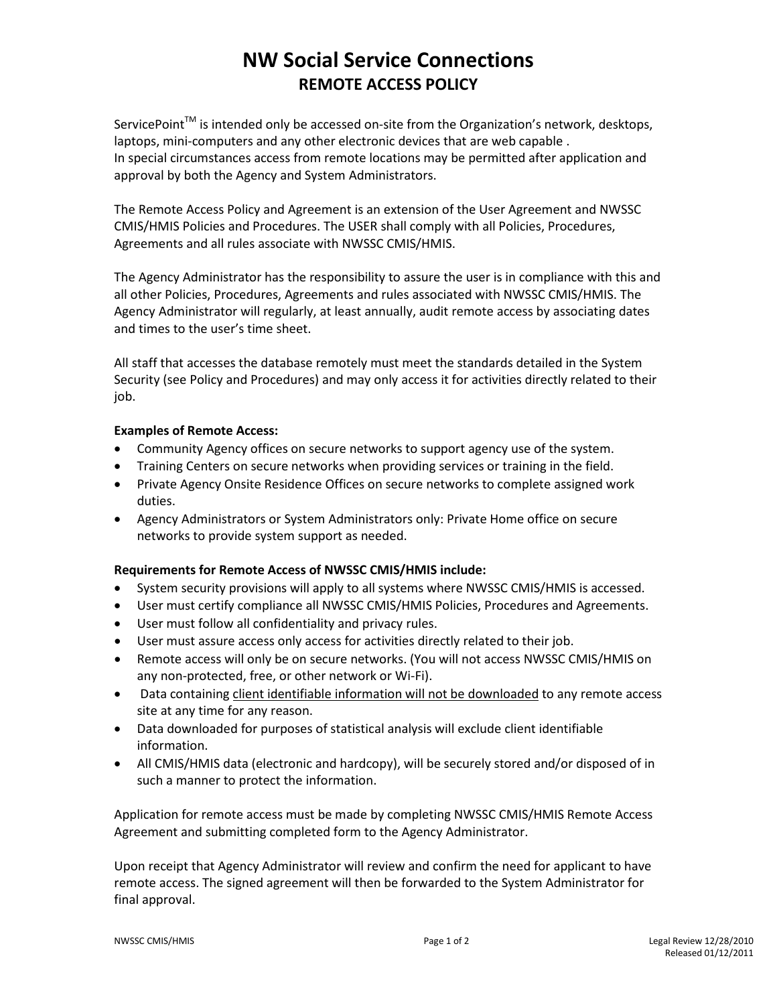## **NW Social Service Connections REMOTE ACCESS POLICY**

ServicePoint<sup>™</sup> is intended only be accessed on-site from the Organization's network, desktops, laptops, mini-computers and any other electronic devices that are web capable . In special circumstances access from remote locations may be permitted after application and approval by both the Agency and System Administrators.

The Remote Access Policy and Agreement is an extension of the User Agreement and NWSSC CMIS/HMIS Policies and Procedures. The USER shall comply with all Policies, Procedures, Agreements and all rules associate with NWSSC CMIS/HMIS.

The Agency Administrator has the responsibility to assure the user is in compliance with this and all other Policies, Procedures, Agreements and rules associated with NWSSC CMIS/HMIS. The Agency Administrator will regularly, at least annually, audit remote access by associating dates and times to the user's time sheet.

All staff that accesses the database remotely must meet the standards detailed in the System Security (see Policy and Procedures) and may only access it for activities directly related to their job.

#### **Examples of Remote Access:**

- Community Agency offices on secure networks to support agency use of the system.
- Training Centers on secure networks when providing services or training in the field.
- Private Agency Onsite Residence Offices on secure networks to complete assigned work duties.
- Agency Administrators or System Administrators only: Private Home office on secure networks to provide system support as needed.

#### **Requirements for Remote Access of NWSSC CMIS/HMIS include:**

- System security provisions will apply to all systems where NWSSC CMIS/HMIS is accessed.
- User must certify compliance all NWSSC CMIS/HMIS Policies, Procedures and Agreements.
- User must follow all confidentiality and privacy rules.
- User must assure access only access for activities directly related to their job.
- Remote access will only be on secure networks. (You will not access NWSSC CMIS/HMIS on any non-protected, free, or other network or Wi-Fi).
- Data containing client identifiable information will not be downloaded to any remote access site at any time for any reason.
- Data downloaded for purposes of statistical analysis will exclude client identifiable information.
- All CMIS/HMIS data (electronic and hardcopy), will be securely stored and/or disposed of in such a manner to protect the information.

Application for remote access must be made by completing NWSSC CMIS/HMIS Remote Access Agreement and submitting completed form to the Agency Administrator.

Upon receipt that Agency Administrator will review and confirm the need for applicant to have remote access. The signed agreement will then be forwarded to the System Administrator for final approval.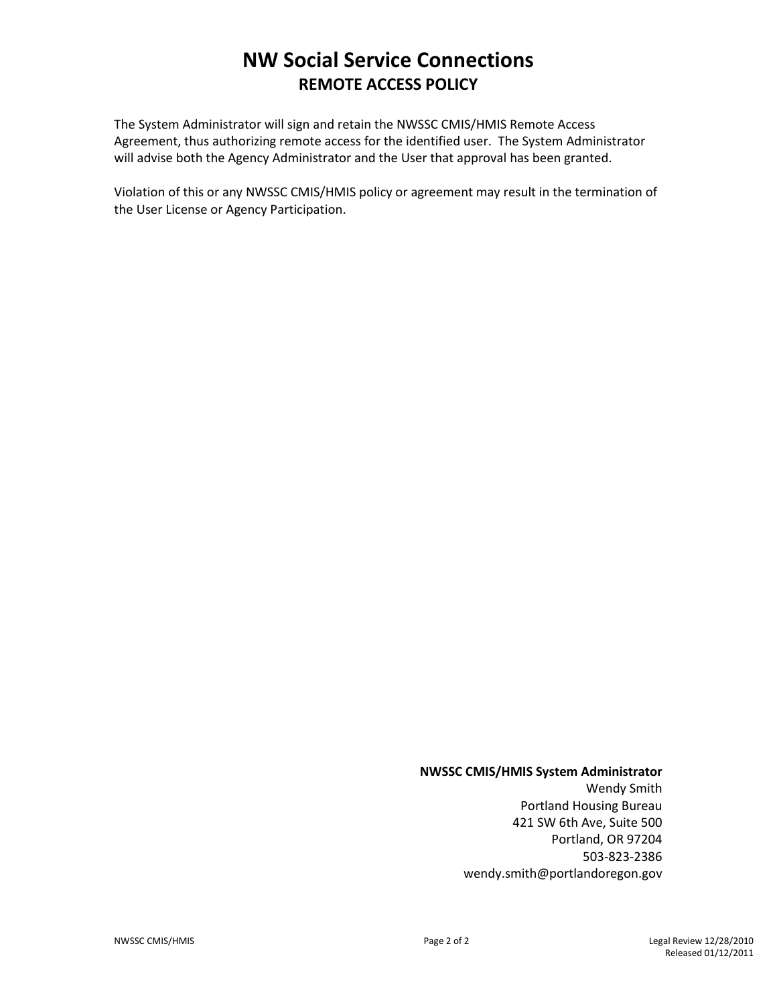### **NW Social Service Connections REMOTE ACCESS POLICY**

The System Administrator will sign and retain the NWSSC CMIS/HMIS Remote Access Agreement, thus authorizing remote access for the identified user. The System Administrator will advise both the Agency Administrator and the User that approval has been granted.

Violation of this or any NWSSC CMIS/HMIS policy or agreement may result in the termination of the User License or Agency Participation.

#### **NWSSC CMIS/HMIS System Administrator**

Wendy Smith Portland Housing Bureau 421 SW 6th Ave, Suite 500 Portland, OR 97204 503-823-2386 wendy.smith@portlandoregon.gov